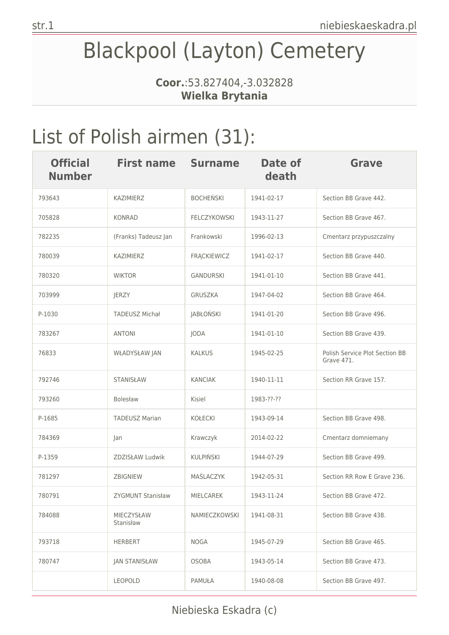# Blackpool (Layton) Cemetery

**Coor.**:53.827404,-3.032828 **Wielka Brytania**

# List of Polish airmen (31):

| <b>Official</b><br><b>Number</b> | <b>First name</b>       | <b>Surname</b>      | Date of<br>death | Grave                                        |
|----------------------------------|-------------------------|---------------------|------------------|----------------------------------------------|
| 793643                           | KAZIMIERZ               | <b>BOCHEŃSKI</b>    | 1941-02-17       | Section BB Grave 442.                        |
| 705828                           | <b>KONRAD</b>           | <b>FELCZYKOWSKI</b> | 1943-11-27       | Section BB Grave 467.                        |
| 782235                           | (Franks) Tadeusz Jan    | Frankowski          | 1996-02-13       | Cmentarz przypuszczalny                      |
| 780039                           | KAZIMIERZ               | <b>FRACKIEWICZ</b>  | 1941-02-17       | Section BB Grave 440.                        |
| 780320                           | <b>WIKTOR</b>           | GANDURSKI           | 1941-01-10       | Section BB Grave 441.                        |
| 703999                           | JERZY                   | <b>GRUSZKA</b>      | 1947-04-02       | Section BB Grave 464.                        |
| P-1030                           | <b>TADEUSZ Michał</b>   | <b>JABŁOŃSKI</b>    | 1941-01-20       | Section BB Grave 496.                        |
| 783267                           | <b>ANTONI</b>           | JODA                | 1941-01-10       | Section BB Grave 439.                        |
| 76833                            | WŁADYSŁAW JAN           | <b>KALKUS</b>       | 1945-02-25       | Polish Service Plot Section BB<br>Grave 471. |
| 792746                           | <b>STANISŁAW</b>        | <b>KANCIAK</b>      | 1940-11-11       | Section RR Grave 157.                        |
| 793260                           | <b>Bolesław</b>         | Kisiel              | 1983-??-??       |                                              |
| P-1685                           | <b>TADEUSZ Marian</b>   | <b>KOŁECKI</b>      | 1943-09-14       | Section BB Grave 498.                        |
| 784369                           | Jan                     | Krawczyk            | 2014-02-22       | Cmentarz domniemany                          |
| P-1359                           | ZDZISŁAW Ludwik         | <b>KULPIŃSKI</b>    | 1944-07-29       | Section BB Grave 499.                        |
| 781297                           | ZBIGNIEW                | MAŚLACZYK           | 1942-05-31       | Section RR Row E Grave 236.                  |
| 780791                           | ZYGMUNT Stanisław       | MIELCAREK           | 1943-11-24       | Section BB Grave 472.                        |
| 784088                           | MIECZYSŁAW<br>Stanisław | NAMIECZKOWSKI       | 1941-08-31       | Section BB Grave 438.                        |
| 793718                           | <b>HERBERT</b>          | <b>NOGA</b>         | 1945-07-29       | Section BB Grave 465.                        |
| 780747                           | <b>JAN STANISŁAW</b>    | <b>OSOBA</b>        | 1943-05-14       | Section BB Grave 473.                        |
|                                  | <b>LEOPOLD</b>          | PAMUŁA              | 1940-08-08       | Section BB Grave 497.                        |